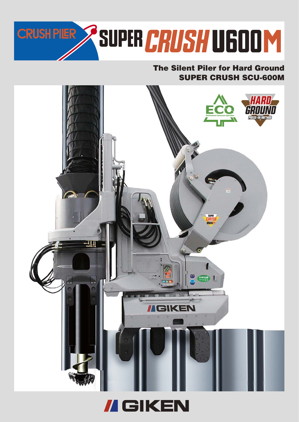

## **SUPER CRUSH SCU-600M The Silent Piler for Hard Ground**



**// GIKEN**